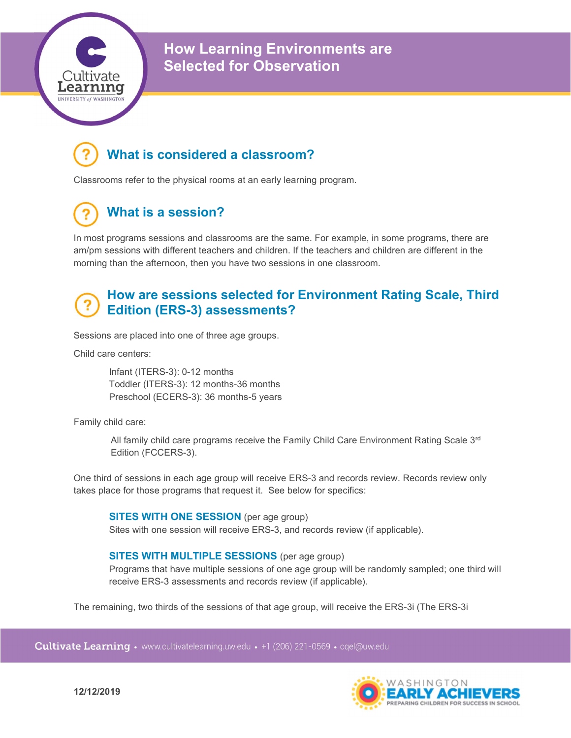

How Learning Environments are Selected for Observation

## What is considered a classroom?

Classrooms refer to the physical rooms at an early learning program.

# What is a session?

In most programs sessions and classrooms are the same. For example, in some programs, there are am/pm sessions with different teachers and children. If the teachers and children are different in the morning than the afternoon, then you have two sessions in one classroom.

## How are sessions selected for Environment Rating Scale, Third Edition (ERS-3) assessments?

Sessions are placed into one of three age groups.

Child care centers:

Infant (ITERS-3): 0-12 months Toddler (ITERS-3): 12 months-36 months Preschool (ECERS-3): 36 months-5 years

Family child care:

All family child care programs receive the Family Child Care Environment Rating Scale  $3<sup>rd</sup>$ Edition (FCCERS-3).

One third of sessions in each age group will receive ERS-3 and records review. Records review only takes place for those programs that request it. See below for specifics:

#### SITES WITH ONE SESSION (per age group)

Sites with one session will receive ERS-3, and records review (if applicable).

#### SITES WITH MULTIPLE SESSIONS (per age group)

Programs that have multiple sessions of one age group will be randomly sampled; one third will receive ERS-3 assessments and records review (if applicable).

The remaining, two thirds of the sessions of that age group, will receive the ERS-3i (The ERS-3i

Cultivate Learning • www.cultivatelearning.uw.edu • +1 (206) 221-0569 • cqel@uw.edu